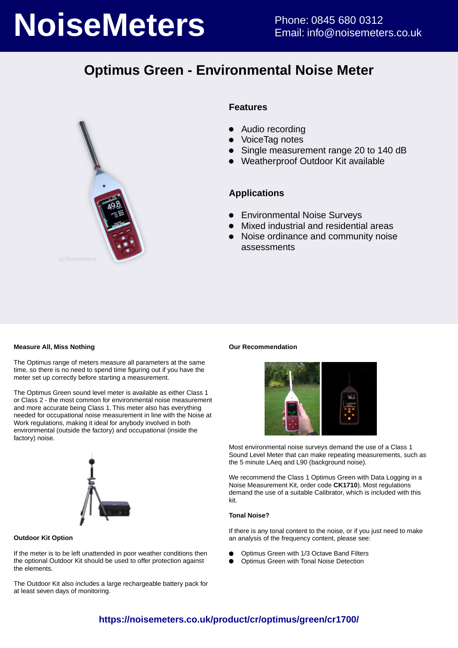# **NoiseMeters** Phone: 0845 680 0312

# **Optimus Green - Environmental Noise Meter**



#### **Features**

- Audio recording
- VoiceTag notes
- Single measurement range 20 to 140 dB
- Weatherproof Outdoor Kit available

#### **Applications**

- **•** Environmental Noise Surveys
- Mixed industrial and residential areas
- Noise ordinance and community noise  $\bullet$ assessments

#### **Measure All, Miss Nothing**

The Optimus range of meters measure all parameters at the same time, so there is no need to spend time figuring out if you have the meter set up correctly before starting a measurement.

The Optimus Green sound level meter is available as either Class 1 or Class 2 - the most common for environmental noise measurement and more accurate being Class 1. This meter also has everything needed for occupational noise measurement in line with the Noise at Work regulations, making it ideal for anybody involved in both environmental (outside the factory) and occupational (inside the factory) noise.



#### **Outdoor Kit Option**

If the meter is to be left unattended in poor weather conditions then the optional Outdoor Kit should be used to offer protection against the elements.

The Outdoor Kit also includes a large rechargeable battery pack for at least seven days of monitoring.

#### **Our Recommendation**



Most environmental noise surveys demand the use of a Class 1 Sound Level Meter that can make repeating measurements, such as the 5 minute LAeg and L90 (background noise).

We recommend the Class 1 Optimus Green with Data Logging in a Noise Measurement Kit, order code **CK1710**). Most regulations demand the use of a suitable Calibrator, which is included with this kit.

#### **Tonal Noise?**

If there is any tonal content to the noise, or if you just need to make an analysis of the frequency content, please see:

- Optimus Green with 1/3 Octave Band Filters
- Optimus Green with Tonal Noise Detection

### **https://noisemeters.co.uk/product/cr/optimus/green/cr1700/**